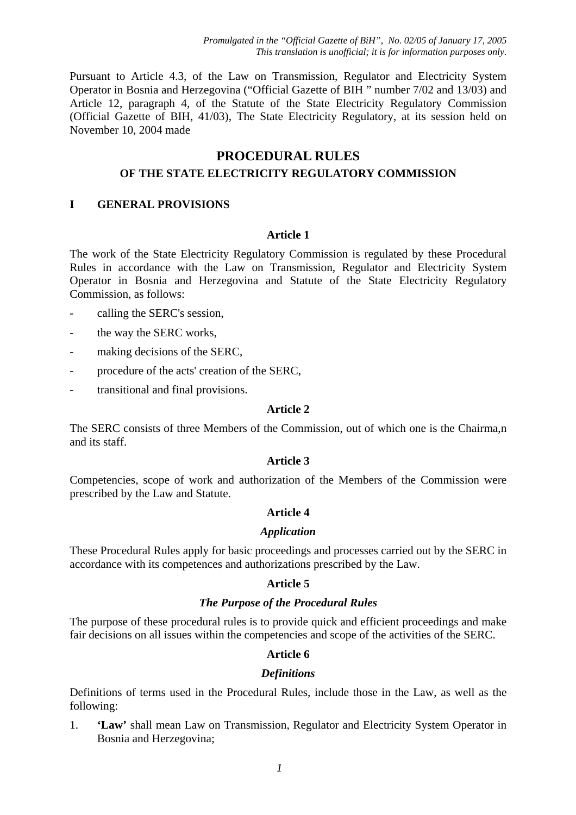Pursuant to Article 4.3, of the Law on Transmission, Regulator and Electricity System Operator in Bosnia and Herzegovina ("Official Gazette of BIH " number 7/02 and 13/03) and Article 12, paragraph 4, of the Statute of the State Electricity Regulatory Commission (Official Gazette of BIH, 41/03), The State Electricity Regulatory, at its session held on November 10, 2004 made

# **PROCEDURAL RULES OF THE STATE ELECTRICITY REGULATORY COMMISSION**

## **I GENERAL PROVISIONS**

### **Article 1**

The work of the State Electricity Regulatory Commission is regulated by these Procedural Rules in accordance with the Law on Transmission, Regulator and Electricity System Operator in Bosnia and Herzegovina and Statute of the State Electricity Regulatory Commission, as follows:

- calling the SERC's session,
- the way the SERC works,
- making decisions of the SERC,
- procedure of the acts' creation of the SERC,
- transitional and final provisions.

#### **Article 2**

The SERC consists of three Members of the Commission, out of which one is the Chairma,n and its staff.

### **Article 3**

Competencies, scope of work and authorization of the Members of the Commission were prescribed by the Law and Statute.

### **Article 4**

### *Application*

These Procedural Rules apply for basic proceedings and processes carried out by the SERC in accordance with its competences and authorizations prescribed by the Law.

### **Article 5**

### *The Purpose of the Procedural Rules*

The purpose of these procedural rules is to provide quick and efficient proceedings and make fair decisions on all issues within the competencies and scope of the activities of the SERC.

### **Article 6**

#### *Definitions*

Definitions of terms used in the Procedural Rules, include those in the Law, as well as the following:

1. **'Law'** shall mean Law on Transmission, Regulator and Electricity System Operator in Bosnia and Herzegovina;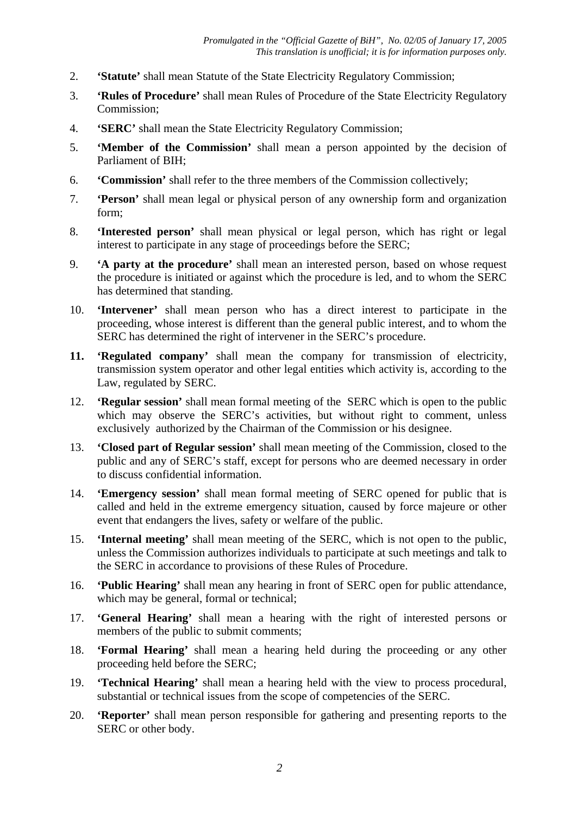- 2. **'Statute'** shall mean Statute of the State Electricity Regulatory Commission;
- 3. **'Rules of Procedure'** shall mean Rules of Procedure of the State Electricity Regulatory Commission;
- 4. **'SERC'** shall mean the State Electricity Regulatory Commission;
- 5. **'Member of the Commission'** shall mean a person appointed by the decision of Parliament of BIH;
- 6. **'Commission'** shall refer to the three members of the Commission collectively;
- 7. **'Person'** shall mean legal or physical person of any ownership form and organization form;
- 8. **'Interested person'** shall mean physical or legal person, which has right or legal interest to participate in any stage of proceedings before the SERC;
- 9. **'A party at the procedure'** shall mean an interested person, based on whose request the procedure is initiated or against which the procedure is led, and to whom the SERC has determined that standing.
- 10. **'Intervener'** shall mean person who has a direct interest to participate in the proceeding, whose interest is different than the general public interest, and to whom the SERC has determined the right of intervener in the SERC's procedure.
- **11. 'Regulated company'** shall mean the company for transmission of electricity, transmission system operator and other legal entities which activity is, according to the Law, regulated by SERC.
- 12. **'Regular session'** shall mean formal meeting of the SERC which is open to the public which may observe the SERC's activities, but without right to comment, unless exclusively authorized by the Chairman of the Commission or his designee.
- 13. **'Closed part of Regular session'** shall mean meeting of the Commission, closed to the public and any of SERC's staff, except for persons who are deemed necessary in order to discuss confidential information.
- 14. **'Emergency session'** shall mean formal meeting of SERC opened for public that is called and held in the extreme emergency situation, caused by force majeure or other event that endangers the lives, safety or welfare of the public.
- 15. **'Internal meeting'** shall mean meeting of the SERC, which is not open to the public, unless the Commission authorizes individuals to participate at such meetings and talk to the SERC in accordance to provisions of these Rules of Procedure.
- 16. **'Public Hearing'** shall mean any hearing in front of SERC open for public attendance, which may be general, formal or technical;
- 17. **'General Hearing'** shall mean a hearing with the right of interested persons or members of the public to submit comments;
- 18. **'Formal Hearing'** shall mean a hearing held during the proceeding or any other proceeding held before the SERC;
- 19. **'Technical Hearing'** shall mean a hearing held with the view to process procedural, substantial or technical issues from the scope of competencies of the SERC.
- 20. **'Reporter'** shall mean person responsible for gathering and presenting reports to the SERC or other body.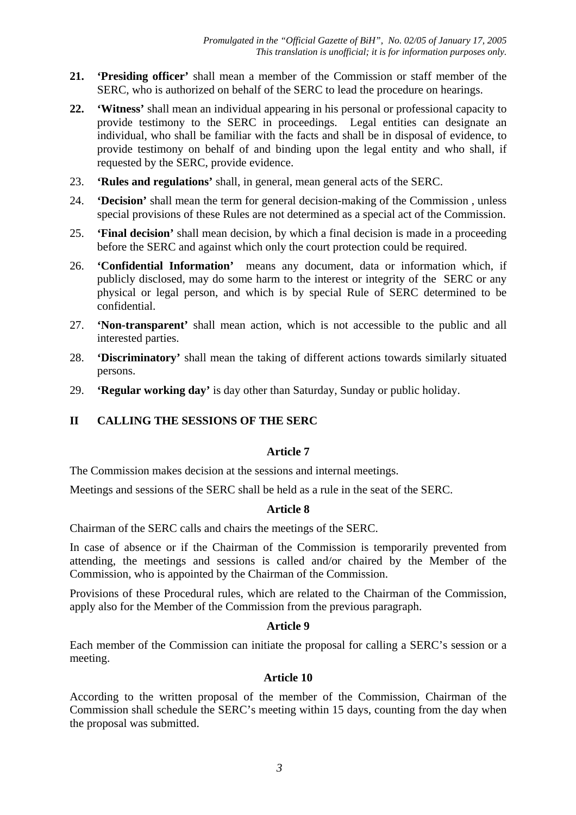- **21. 'Presiding officer'** shall mean a member of the Commission or staff member of the SERC, who is authorized on behalf of the SERC to lead the procedure on hearings.
- **22. 'Witness'** shall mean an individual appearing in his personal or professional capacity to provide testimony to the SERC in proceedings. Legal entities can designate an individual, who shall be familiar with the facts and shall be in disposal of evidence, to provide testimony on behalf of and binding upon the legal entity and who shall, if requested by the SERC, provide evidence.
- 23. **'Rules and regulations'** shall, in general, mean general acts of the SERC.
- 24. **'Decision'** shall mean the term for general decision-making of the Commission , unless special provisions of these Rules are not determined as a special act of the Commission.
- 25. **'Final decision'** shall mean decision, by which a final decision is made in a proceeding before the SERC and against which only the court protection could be required.
- 26. **'Confidential Information'** means any document, data or information which, if publicly disclosed, may do some harm to the interest or integrity of the SERC or any physical or legal person, and which is by special Rule of SERC determined to be confidential.
- 27. **'Non-transparent'** shall mean action, which is not accessible to the public and all interested parties.
- 28. **'Discriminatory'** shall mean the taking of different actions towards similarly situated persons.
- 29. **'Regular working day'** is day other than Saturday, Sunday or public holiday.

## **II CALLING THE SESSIONS OF THE SERC**

### **Article 7**

The Commission makes decision at the sessions and internal meetings.

Meetings and sessions of the SERC shall be held as a rule in the seat of the SERC.

### **Article 8**

Chairman of the SERC calls and chairs the meetings of the SERC.

In case of absence or if the Chairman of the Commission is temporarily prevented from attending, the meetings and sessions is called and/or chaired by the Member of the Commission, who is appointed by the Chairman of the Commission.

Provisions of these Procedural rules, which are related to the Chairman of the Commission, apply also for the Member of the Commission from the previous paragraph.

### **Article 9**

Each member of the Commission can initiate the proposal for calling a SERC's session or a meeting.

### **Article 10**

According to the written proposal of the member of the Commission, Chairman of the Commission shall schedule the SERC's meeting within 15 days, counting from the day when the proposal was submitted.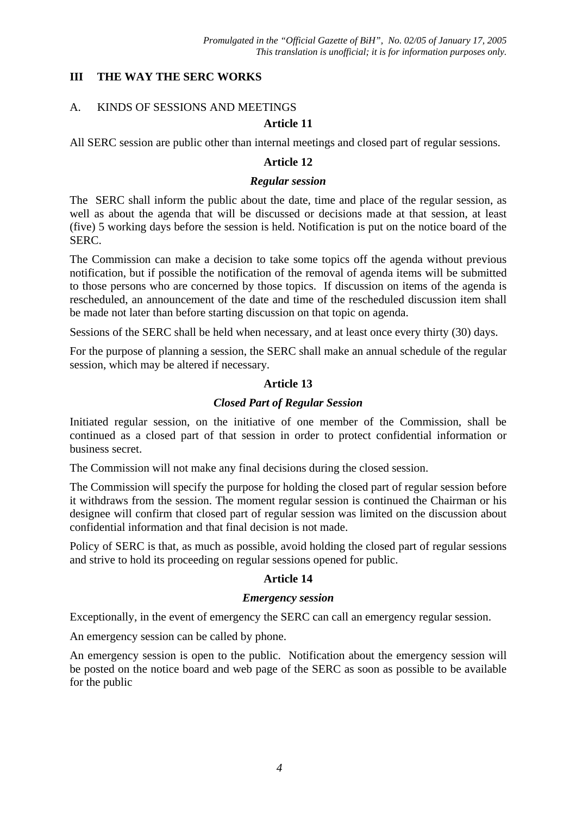### **III THE WAY THE SERC WORKS**

### A. KINDS OF SESSIONS AND MEETINGS

### **Article 11**

All SERC session are public other than internal meetings and closed part of regular sessions.

### **Article 12**

#### *Regular session*

The SERC shall inform the public about the date, time and place of the regular session, as well as about the agenda that will be discussed or decisions made at that session, at least (five) 5 working days before the session is held. Notification is put on the notice board of the SERC.

The Commission can make a decision to take some topics off the agenda without previous notification, but if possible the notification of the removal of agenda items will be submitted to those persons who are concerned by those topics.If discussion on items of the agenda is rescheduled, an announcement of the date and time of the rescheduled discussion item shall be made not later than before starting discussion on that topic on agenda.

Sessions of the SERC shall be held when necessary, and at least once every thirty (30) days.

For the purpose of planning a session, the SERC shall make an annual schedule of the regular session, which may be altered if necessary.

### **Article 13**

### *Closed Part of Regular Session*

Initiated regular session, on the initiative of one member of the Commission, shall be continued as a closed part of that session in order to protect confidential information or business secret.

The Commission will not make any final decisions during the closed session.

The Commission will specify the purpose for holding the closed part of regular session before it withdraws from the session. The moment regular session is continued the Chairman or his designee will confirm that closed part of regular session was limited on the discussion about confidential information and that final decision is not made.

Policy of SERC is that, as much as possible, avoid holding the closed part of regular sessions and strive to hold its proceeding on regular sessions opened for public.

### **Article 14**

### *Emergency session*

Exceptionally, in the event of emergency the SERC can call an emergency regular session.

An emergency session can be called by phone.

An emergency session is open to the public. Notification about the emergency session will be posted on the notice board and web page of the SERC as soon as possible to be available for the public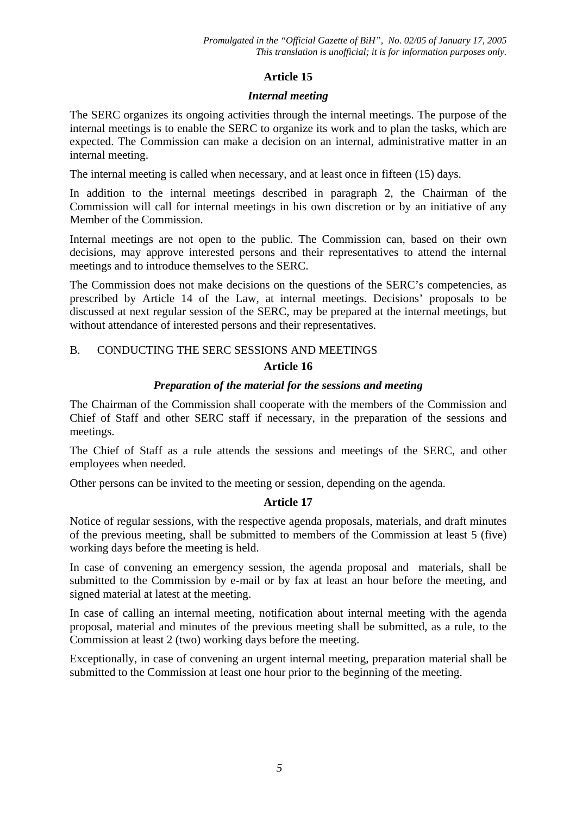### *Internal meeting*

The SERC organizes its ongoing activities through the internal meetings. The purpose of the internal meetings is to enable the SERC to organize its work and to plan the tasks, which are expected. The Commission can make a decision on an internal, administrative matter in an internal meeting.

The internal meeting is called when necessary, and at least once in fifteen (15) days.

In addition to the internal meetings described in paragraph 2, the Chairman of the Commission will call for internal meetings in his own discretion or by an initiative of any Member of the Commission.

Internal meetings are not open to the public. The Commission can, based on their own decisions, may approve interested persons and their representatives to attend the internal meetings and to introduce themselves to the SERC.

The Commission does not make decisions on the questions of the SERC's competencies, as prescribed by Article 14 of the Law, at internal meetings. Decisions' proposals to be discussed at next regular session of the SERC, may be prepared at the internal meetings, but without attendance of interested persons and their representatives.

# B. CONDUCTING THE SERC SESSIONS AND MEETINGS **Article 16**

### *Preparation of the material for the sessions and meeting*

The Chairman of the Commission shall cooperate with the members of the Commission and Chief of Staff and other SERC staff if necessary, in the preparation of the sessions and meetings.

The Chief of Staff as a rule attends the sessions and meetings of the SERC, and other employees when needed.

Other persons can be invited to the meeting or session, depending on the agenda.

## **Article 17**

Notice of regular sessions, with the respective agenda proposals, materials, and draft minutes of the previous meeting, shall be submitted to members of the Commission at least 5 (five) working days before the meeting is held.

In case of convening an emergency session, the agenda proposal and materials, shall be submitted to the Commission by e-mail or by fax at least an hour before the meeting, and signed material at latest at the meeting.

In case of calling an internal meeting, notification about internal meeting with the agenda proposal, material and minutes of the previous meeting shall be submitted, as a rule, to the Commission at least 2 (two) working days before the meeting.

Exceptionally, in case of convening an urgent internal meeting, preparation material shall be submitted to the Commission at least one hour prior to the beginning of the meeting.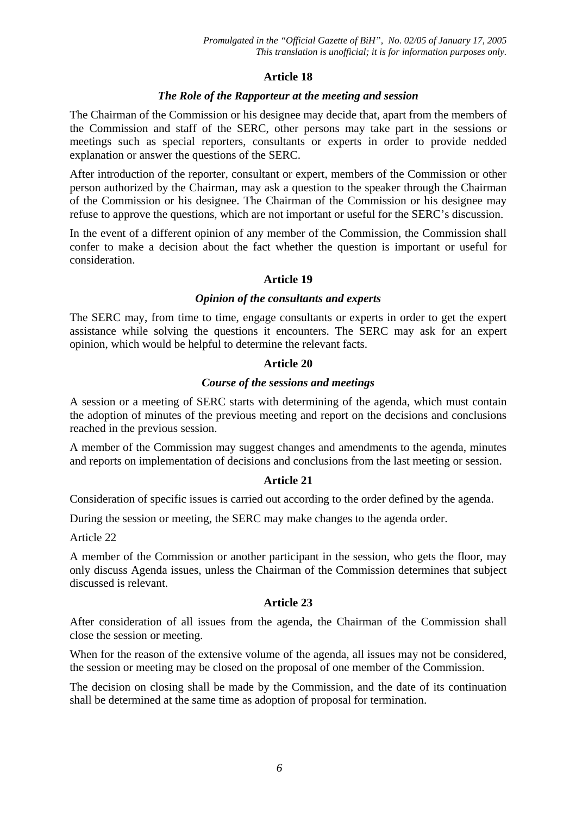### *The Role of the Rapporteur at the meeting and session*

The Chairman of the Commission or his designee may decide that, apart from the members of the Commission and staff of the SERC, other persons may take part in the sessions or meetings such as special reporters, consultants or experts in order to provide nedded explanation or answer the questions of the SERC.

After introduction of the reporter, consultant or expert, members of the Commission or other person authorized by the Chairman, may ask a question to the speaker through the Chairman of the Commission or his designee. The Chairman of the Commission or his designee may refuse to approve the questions, which are not important or useful for the SERC's discussion.

In the event of a different opinion of any member of the Commission, the Commission shall confer to make a decision about the fact whether the question is important or useful for consideration.

## **Article 19**

### *Opinion of the consultants and experts*

The SERC may, from time to time, engage consultants or experts in order to get the expert assistance while solving the questions it encounters. The SERC may ask for an expert opinion, which would be helpful to determine the relevant facts.

### **Article 20**

### *Course of the sessions and meetings*

A session or a meeting of SERC starts with determining of the agenda, which must contain the adoption of minutes of the previous meeting and report on the decisions and conclusions reached in the previous session.

A member of the Commission may suggest changes and amendments to the agenda, minutes and reports on implementation of decisions and conclusions from the last meeting or session.

### **Article 21**

Consideration of specific issues is carried out according to the order defined by the agenda.

During the session or meeting, the SERC may make changes to the agenda order.

Article 22

A member of the Commission or another participant in the session, who gets the floor, may only discuss Agenda issues, unless the Chairman of the Commission determines that subject discussed is relevant.

### **Article 23**

After consideration of all issues from the agenda, the Chairman of the Commission shall close the session or meeting.

When for the reason of the extensive volume of the agenda, all issues may not be considered, the session or meeting may be closed on the proposal of one member of the Commission.

The decision on closing shall be made by the Commission, and the date of its continuation shall be determined at the same time as adoption of proposal for termination.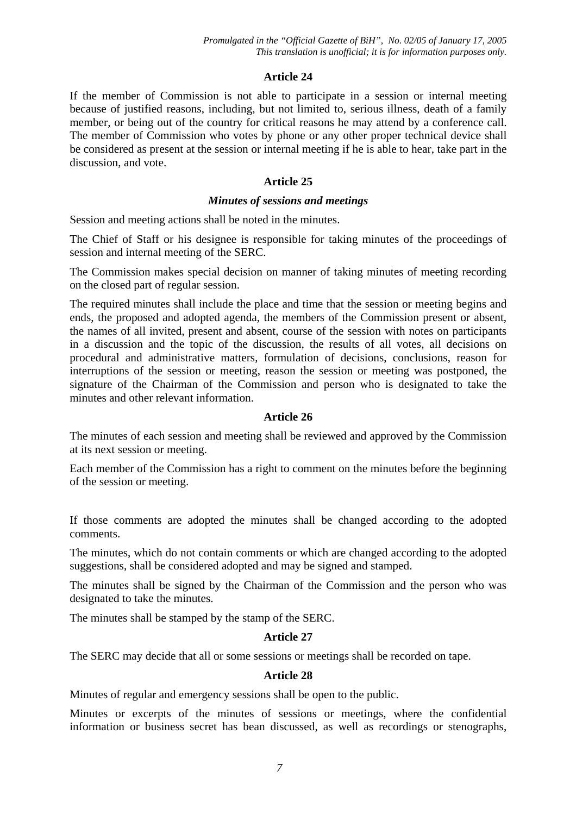If the member of Commission is not able to participate in a session or internal meeting because of justified reasons, including, but not limited to, serious illness, death of a family member, or being out of the country for critical reasons he may attend by a conference call. The member of Commission who votes by phone or any other proper technical device shall be considered as present at the session or internal meeting if he is able to hear, take part in the discussion, and vote.

### **Article 25**

### *Minutes of sessions and meetings*

Session and meeting actions shall be noted in the minutes.

The Chief of Staff or his designee is responsible for taking minutes of the proceedings of session and internal meeting of the SERC.

The Commission makes special decision on manner of taking minutes of meeting recording on the closed part of regular session.

The required minutes shall include the place and time that the session or meeting begins and ends, the proposed and adopted agenda, the members of the Commission present or absent, the names of all invited, present and absent, course of the session with notes on participants in a discussion and the topic of the discussion, the results of all votes, all decisions on procedural and administrative matters, formulation of decisions, conclusions, reason for interruptions of the session or meeting, reason the session or meeting was postponed, the signature of the Chairman of the Commission and person who is designated to take the minutes and other relevant information.

## **Article 26**

The minutes of each session and meeting shall be reviewed and approved by the Commission at its next session or meeting.

Each member of the Commission has a right to comment on the minutes before the beginning of the session or meeting.

If those comments are adopted the minutes shall be changed according to the adopted comments.

The minutes, which do not contain comments or which are changed according to the adopted suggestions, shall be considered adopted and may be signed and stamped.

The minutes shall be signed by the Chairman of the Commission and the person who was designated to take the minutes.

The minutes shall be stamped by the stamp of the SERC.

### **Article 27**

The SERC may decide that all or some sessions or meetings shall be recorded on tape.

### **Article 28**

Minutes of regular and emergency sessions shall be open to the public.

Minutes or excerpts of the minutes of sessions or meetings, where the confidential information or business secret has bean discussed, as well as recordings or stenographs,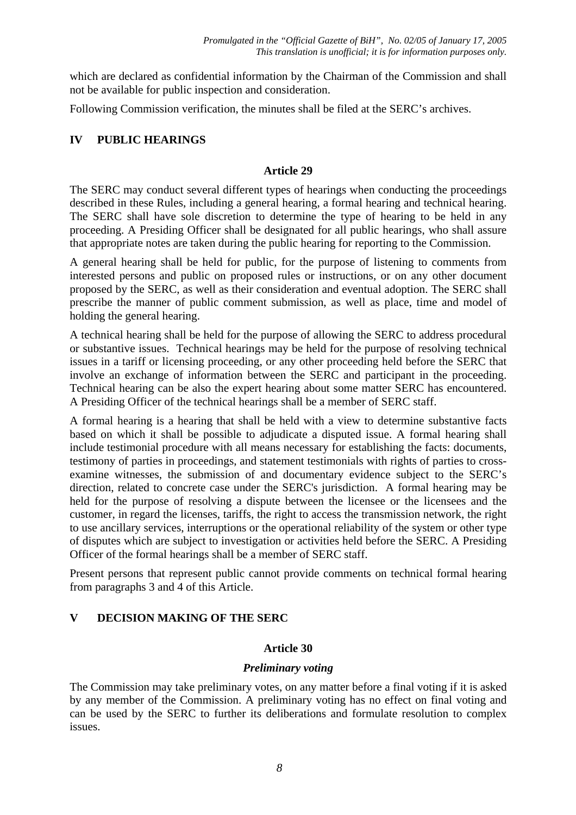which are declared as confidential information by the Chairman of the Commission and shall not be available for public inspection and consideration.

Following Commission verification, the minutes shall be filed at the SERC's archives.

## **IV PUBLIC HEARINGS**

## **Article 29**

The SERC may conduct several different types of hearings when conducting the proceedings described in these Rules, including a general hearing, a formal hearing and technical hearing. The SERC shall have sole discretion to determine the type of hearing to be held in any proceeding. A Presiding Officer shall be designated for all public hearings, who shall assure that appropriate notes are taken during the public hearing for reporting to the Commission.

A general hearing shall be held for public, for the purpose of listening to comments from interested persons and public on proposed rules or instructions, or on any other document proposed by the SERC, as well as their consideration and eventual adoption. The SERC shall prescribe the manner of public comment submission, as well as place, time and model of holding the general hearing.

A technical hearing shall be held for the purpose of allowing the SERC to address procedural or substantive issues. Technical hearings may be held for the purpose of resolving technical issues in a tariff or licensing proceeding, or any other proceeding held before the SERC that involve an exchange of information between the SERC and participant in the proceeding. Technical hearing can be also the expert hearing about some matter SERC has encountered. A Presiding Officer of the technical hearings shall be a member of SERC staff.

A formal hearing is a hearing that shall be held with a view to determine substantive facts based on which it shall be possible to adjudicate a disputed issue. A formal hearing shall include testimonial procedure with all means necessary for establishing the facts: documents, testimony of parties in proceedings, and statement testimonials with rights of parties to crossexamine witnesses, the submission of and documentary evidence subject to the SERC's direction, related to concrete case under the SERC's jurisdiction. A formal hearing may be held for the purpose of resolving a dispute between the licensee or the licensees and the customer, in regard the licenses, tariffs, the right to access the transmission network, the right to use ancillary services, interruptions or the operational reliability of the system or other type of disputes which are subject to investigation or activities held before the SERC. A Presiding Officer of the formal hearings shall be a member of SERC staff.

Present persons that represent public cannot provide comments on technical formal hearing from paragraphs 3 and 4 of this Article.

## **V DECISION MAKING OF THE SERC**

## **Article 30**

## *Preliminary voting*

The Commission may take preliminary votes, on any matter before a final voting if it is asked by any member of the Commission. A preliminary voting has no effect on final voting and can be used by the SERC to further its deliberations and formulate resolution to complex issues.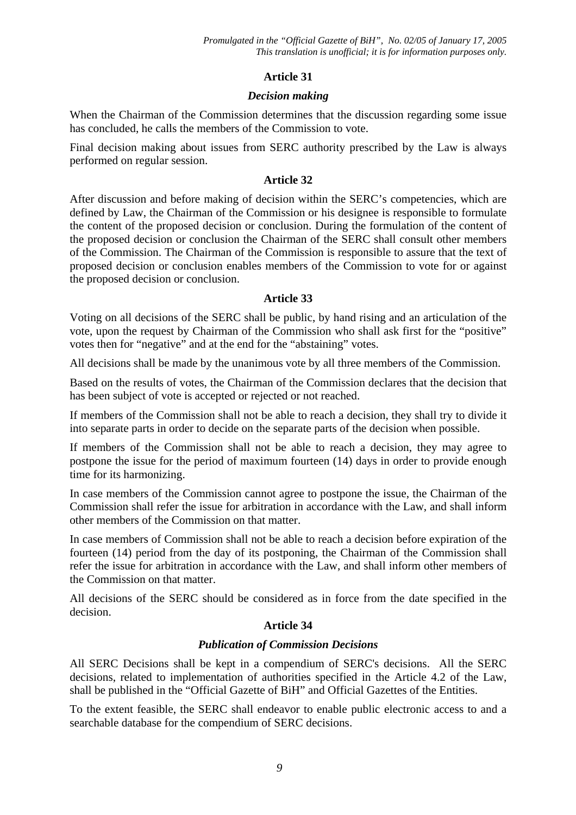### *Decision making*

When the Chairman of the Commission determines that the discussion regarding some issue has concluded, he calls the members of the Commission to vote.

Final decision making about issues from SERC authority prescribed by the Law is always performed on regular session.

### **Article 32**

After discussion and before making of decision within the SERC's competencies, which are defined by Law, the Chairman of the Commission or his designee is responsible to formulate the content of the proposed decision or conclusion. During the formulation of the content of the proposed decision or conclusion the Chairman of the SERC shall consult other members of the Commission. The Chairman of the Commission is responsible to assure that the text of proposed decision or conclusion enables members of the Commission to vote for or against the proposed decision or conclusion.

### **Article 33**

Voting on all decisions of the SERC shall be public, by hand rising and an articulation of the vote, upon the request by Chairman of the Commission who shall ask first for the "positive" votes then for "negative" and at the end for the "abstaining" votes.

All decisions shall be made by the unanimous vote by all three members of the Commission.

Based on the results of votes, the Chairman of the Commission declares that the decision that has been subject of vote is accepted or rejected or not reached.

If members of the Commission shall not be able to reach a decision, they shall try to divide it into separate parts in order to decide on the separate parts of the decision when possible.

If members of the Commission shall not be able to reach a decision, they may agree to postpone the issue for the period of maximum fourteen (14) days in order to provide enough time for its harmonizing.

In case members of the Commission cannot agree to postpone the issue, the Chairman of the Commission shall refer the issue for arbitration in accordance with the Law, and shall inform other members of the Commission on that matter.

In case members of Commission shall not be able to reach a decision before expiration of the fourteen (14) period from the day of its postponing, the Chairman of the Commission shall refer the issue for arbitration in accordance with the Law, and shall inform other members of the Commission on that matter.

All decisions of the SERC should be considered as in force from the date specified in the decision.

## **Article 34**

## *Publication of Commission Decisions*

All SERC Decisions shall be kept in a compendium of SERC's decisions. All the SERC decisions, related to implementation of authorities specified in the Article 4.2 of the Law, shall be published in the "Official Gazette of BiH" and Official Gazettes of the Entities.

To the extent feasible, the SERC shall endeavor to enable public electronic access to and a searchable database for the compendium of SERC decisions.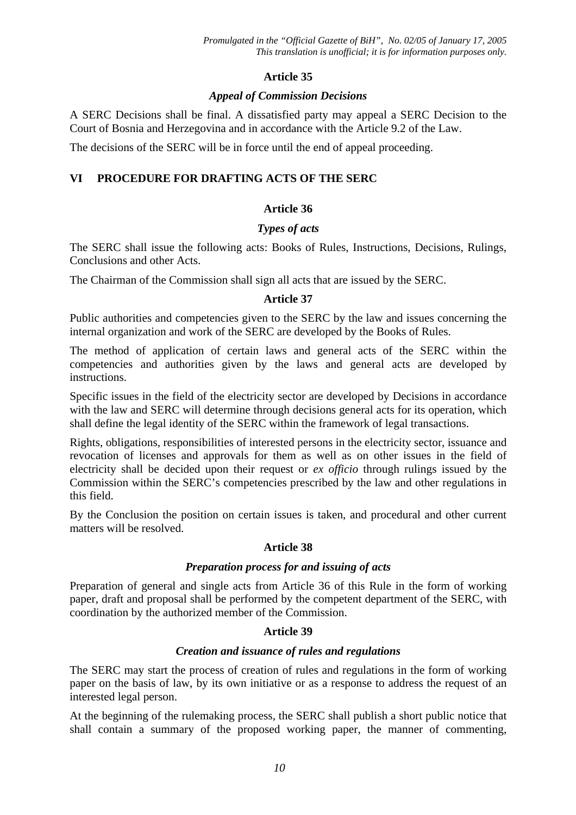## *Appeal of Commission Decisions*

A SERC Decisions shall be final. A dissatisfied party may appeal a SERC Decision to the Court of Bosnia and Herzegovina and in accordance with the Article 9.2 of the Law.

The decisions of the SERC will be in force until the end of appeal proceeding.

# **VI PROCEDURE FOR DRAFTING ACTS OF THE SERC**

## **Article 36**

### *Types of acts*

The SERC shall issue the following acts: Books of Rules, Instructions, Decisions, Rulings, Conclusions and other Acts.

The Chairman of the Commission shall sign all acts that are issued by the SERC.

## **Article 37**

Public authorities and competencies given to the SERC by the law and issues concerning the internal organization and work of the SERC are developed by the Books of Rules.

The method of application of certain laws and general acts of the SERC within the competencies and authorities given by the laws and general acts are developed by instructions.

Specific issues in the field of the electricity sector are developed by Decisions in accordance with the law and SERC will determine through decisions general acts for its operation, which shall define the legal identity of the SERC within the framework of legal transactions.

Rights, obligations, responsibilities of interested persons in the electricity sector, issuance and revocation of licenses and approvals for them as well as on other issues in the field of electricity shall be decided upon their request or *ex officio* through rulings issued by the Commission within the SERC's competencies prescribed by the law and other regulations in this field.

By the Conclusion the position on certain issues is taken, and procedural and other current matters will be resolved.

## **Article 38**

### *Preparation process for and issuing of acts*

Preparation of general and single acts from Article 36 of this Rule in the form of working paper, draft and proposal shall be performed by the competent department of the SERC, with coordination by the authorized member of the Commission.

## **Article 39**

## *Creation and issuance of rules and regulations*

The SERC may start the process of creation of rules and regulations in the form of working paper on the basis of law, by its own initiative or as a response to address the request of an interested legal person.

At the beginning of the rulemaking process, the SERC shall publish a short public notice that shall contain a summary of the proposed working paper, the manner of commenting,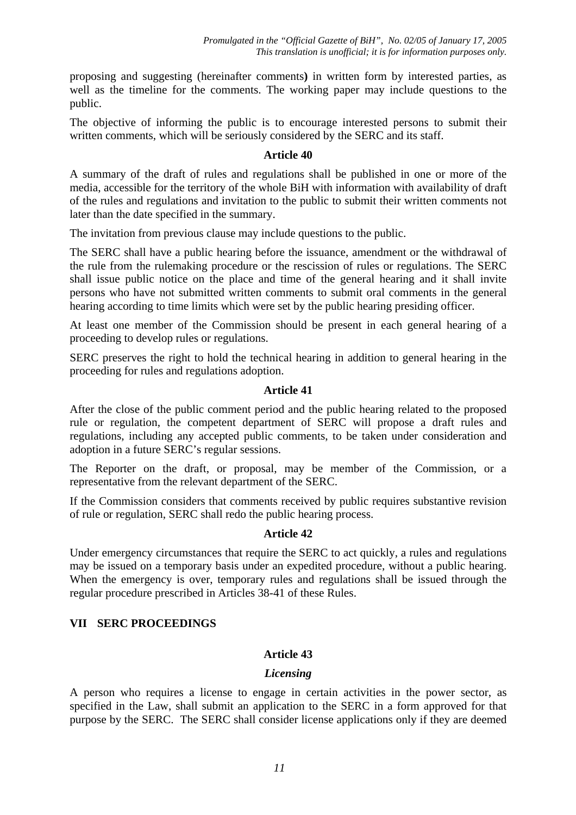proposing and suggesting (hereinafter comments**)** in written form by interested parties, as well as the timeline for the comments. The working paper may include questions to the public.

The objective of informing the public is to encourage interested persons to submit their written comments, which will be seriously considered by the SERC and its staff.

### **Article 40**

A summary of the draft of rules and regulations shall be published in one or more of the media, accessible for the territory of the whole BiH with information with availability of draft of the rules and regulations and invitation to the public to submit their written comments not later than the date specified in the summary.

The invitation from previous clause may include questions to the public.

The SERC shall have a public hearing before the issuance, amendment or the withdrawal of the rule from the rulemaking procedure or the rescission of rules or regulations. The SERC shall issue public notice on the place and time of the general hearing and it shall invite persons who have not submitted written comments to submit oral comments in the general hearing according to time limits which were set by the public hearing presiding officer.

At least one member of the Commission should be present in each general hearing of a proceeding to develop rules or regulations.

SERC preserves the right to hold the technical hearing in addition to general hearing in the proceeding for rules and regulations adoption.

### **Article 41**

After the close of the public comment period and the public hearing related to the proposed rule or regulation, the competent department of SERC will propose a draft rules and regulations, including any accepted public comments, to be taken under consideration and adoption in a future SERC's regular sessions.

The Reporter on the draft, or proposal, may be member of the Commission, or a representative from the relevant department of the SERC.

If the Commission considers that comments received by public requires substantive revision of rule or regulation, SERC shall redo the public hearing process.

## **Article 42**

Under emergency circumstances that require the SERC to act quickly, a rules and regulations may be issued on a temporary basis under an expedited procedure, without a public hearing. When the emergency is over, temporary rules and regulations shall be issued through the regular procedure prescribed in Articles 38-41 of these Rules.

## **VII SERC PROCEEDINGS**

## **Article 43**

### *Licensing*

A person who requires a license to engage in certain activities in the power sector, as specified in the Law, shall submit an application to the SERC in a form approved for that purpose by the SERC. The SERC shall consider license applications only if they are deemed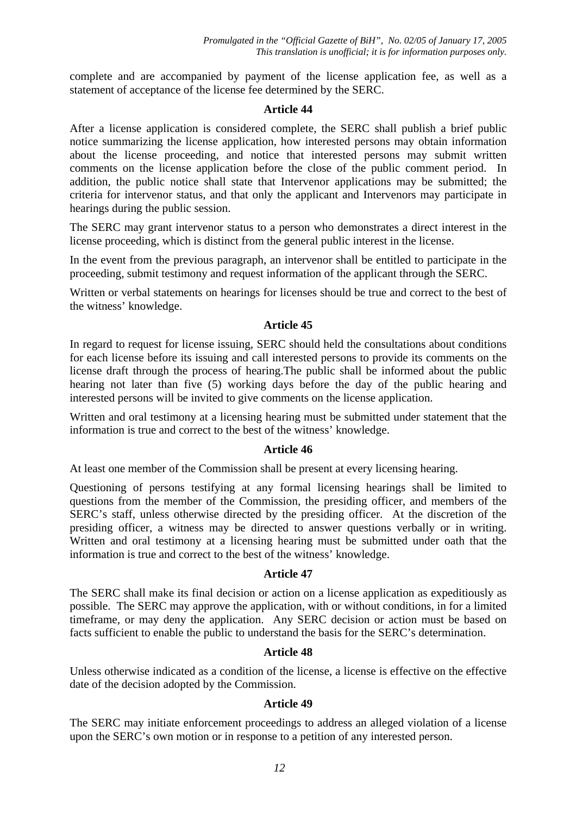complete and are accompanied by payment of the license application fee, as well as a statement of acceptance of the license fee determined by the SERC.

#### **Article 44**

After a license application is considered complete, the SERC shall publish a brief public notice summarizing the license application, how interested persons may obtain information about the license proceeding, and notice that interested persons may submit written comments on the license application before the close of the public comment period. In addition, the public notice shall state that Intervenor applications may be submitted; the criteria for intervenor status, and that only the applicant and Intervenors may participate in hearings during the public session.

The SERC may grant intervenor status to a person who demonstrates a direct interest in the license proceeding, which is distinct from the general public interest in the license.

In the event from the previous paragraph, an intervenor shall be entitled to participate in the proceeding, submit testimony and request information of the applicant through the SERC.

Written or verbal statements on hearings for licenses should be true and correct to the best of the witness' knowledge.

### **Article 45**

In regard to request for license issuing, SERC should held the consultations about conditions for each license before its issuing and call interested persons to provide its comments on the license draft through the process of hearing.The public shall be informed about the public hearing not later than five (5) working days before the day of the public hearing and interested persons will be invited to give comments on the license application.

Written and oral testimony at a licensing hearing must be submitted under statement that the information is true and correct to the best of the witness' knowledge.

### **Article 46**

At least one member of the Commission shall be present at every licensing hearing.

Questioning of persons testifying at any formal licensing hearings shall be limited to questions from the member of the Commission, the presiding officer, and members of the SERC's staff, unless otherwise directed by the presiding officer. At the discretion of the presiding officer, a witness may be directed to answer questions verbally or in writing. Written and oral testimony at a licensing hearing must be submitted under oath that the information is true and correct to the best of the witness' knowledge.

### **Article 47**

The SERC shall make its final decision or action on a license application as expeditiously as possible. The SERC may approve the application, with or without conditions, in for a limited timeframe, or may deny the application. Any SERC decision or action must be based on facts sufficient to enable the public to understand the basis for the SERC's determination.

### **Article 48**

Unless otherwise indicated as a condition of the license, a license is effective on the effective date of the decision adopted by the Commission.

### **Article 49**

The SERC may initiate enforcement proceedings to address an alleged violation of a license upon the SERC's own motion or in response to a petition of any interested person.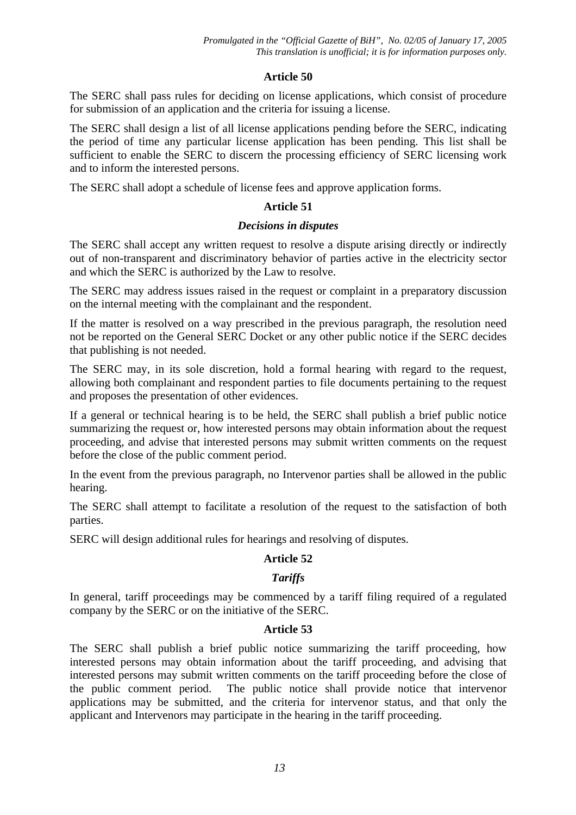The SERC shall pass rules for deciding on license applications, which consist of procedure for submission of an application and the criteria for issuing a license.

The SERC shall design a list of all license applications pending before the SERC, indicating the period of time any particular license application has been pending. This list shall be sufficient to enable the SERC to discern the processing efficiency of SERC licensing work and to inform the interested persons.

The SERC shall adopt a schedule of license fees and approve application forms.

## **Article 51**

### *Decisions in disputes*

The SERC shall accept any written request to resolve a dispute arising directly or indirectly out of non-transparent and discriminatory behavior of parties active in the electricity sector and which the SERC is authorized by the Law to resolve.

The SERC may address issues raised in the request or complaint in a preparatory discussion on the internal meeting with the complainant and the respondent.

If the matter is resolved on a way prescribed in the previous paragraph, the resolution need not be reported on the General SERC Docket or any other public notice if the SERC decides that publishing is not needed.

The SERC may, in its sole discretion, hold a formal hearing with regard to the request, allowing both complainant and respondent parties to file documents pertaining to the request and proposes the presentation of other evidences.

If a general or technical hearing is to be held, the SERC shall publish a brief public notice summarizing the request or, how interested persons may obtain information about the request proceeding, and advise that interested persons may submit written comments on the request before the close of the public comment period.

In the event from the previous paragraph, no Intervenor parties shall be allowed in the public hearing.

The SERC shall attempt to facilitate a resolution of the request to the satisfaction of both parties.

SERC will design additional rules for hearings and resolving of disputes.

## **Article 52**

# *Tariffs*

In general, tariff proceedings may be commenced by a tariff filing required of a regulated company by the SERC or on the initiative of the SERC.

## **Article 53**

The SERC shall publish a brief public notice summarizing the tariff proceeding, how interested persons may obtain information about the tariff proceeding, and advising that interested persons may submit written comments on the tariff proceeding before the close of the public comment period. The public notice shall provide notice that intervenor applications may be submitted, and the criteria for intervenor status, and that only the applicant and Intervenors may participate in the hearing in the tariff proceeding.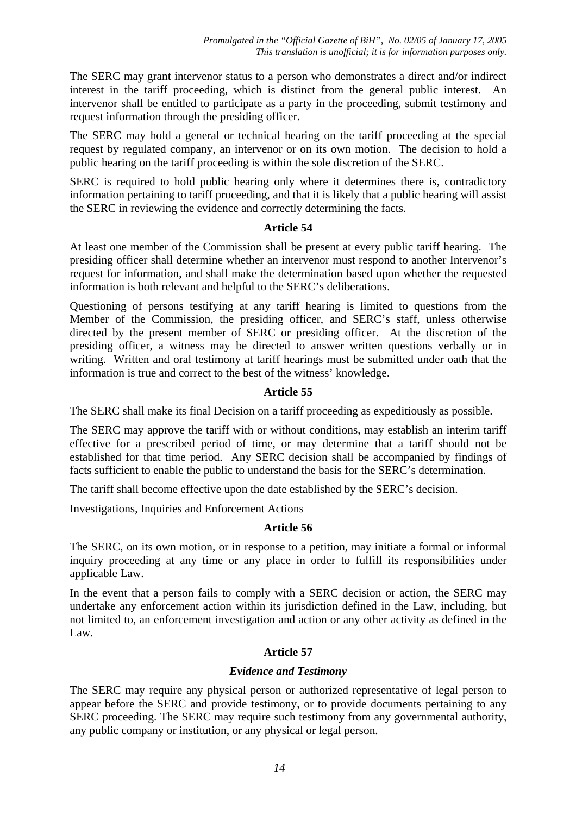The SERC may grant intervenor status to a person who demonstrates a direct and/or indirect interest in the tariff proceeding, which is distinct from the general public interest. An intervenor shall be entitled to participate as a party in the proceeding, submit testimony and request information through the presiding officer.

The SERC may hold a general or technical hearing on the tariff proceeding at the special request by regulated company, an intervenor or on its own motion. The decision to hold a public hearing on the tariff proceeding is within the sole discretion of the SERC.

SERC is required to hold public hearing only where it determines there is, contradictory information pertaining to tariff proceeding, and that it is likely that a public hearing will assist the SERC in reviewing the evidence and correctly determining the facts.

### **Article 54**

At least one member of the Commission shall be present at every public tariff hearing. The presiding officer shall determine whether an intervenor must respond to another Intervenor's request for information, and shall make the determination based upon whether the requested information is both relevant and helpful to the SERC's deliberations.

Questioning of persons testifying at any tariff hearing is limited to questions from the Member of the Commission, the presiding officer, and SERC's staff, unless otherwise directed by the present member of SERC or presiding officer. At the discretion of the presiding officer, a witness may be directed to answer written questions verbally or in writing. Written and oral testimony at tariff hearings must be submitted under oath that the information is true and correct to the best of the witness' knowledge.

## **Article 55**

The SERC shall make its final Decision on a tariff proceeding as expeditiously as possible.

The SERC may approve the tariff with or without conditions, may establish an interim tariff effective for a prescribed period of time, or may determine that a tariff should not be established for that time period. Any SERC decision shall be accompanied by findings of facts sufficient to enable the public to understand the basis for the SERC's determination.

The tariff shall become effective upon the date established by the SERC's decision.

Investigations, Inquiries and Enforcement Actions

### **Article 56**

The SERC, on its own motion, or in response to a petition, may initiate a formal or informal inquiry proceeding at any time or any place in order to fulfill its responsibilities under applicable Law.

In the event that a person fails to comply with a SERC decision or action, the SERC may undertake any enforcement action within its jurisdiction defined in the Law, including, but not limited to, an enforcement investigation and action or any other activity as defined in the Law.

## **Article 57**

## *Evidence and Testimony*

The SERC may require any physical person or authorized representative of legal person to appear before the SERC and provide testimony, or to provide documents pertaining to any SERC proceeding. The SERC may require such testimony from any governmental authority, any public company or institution, or any physical or legal person.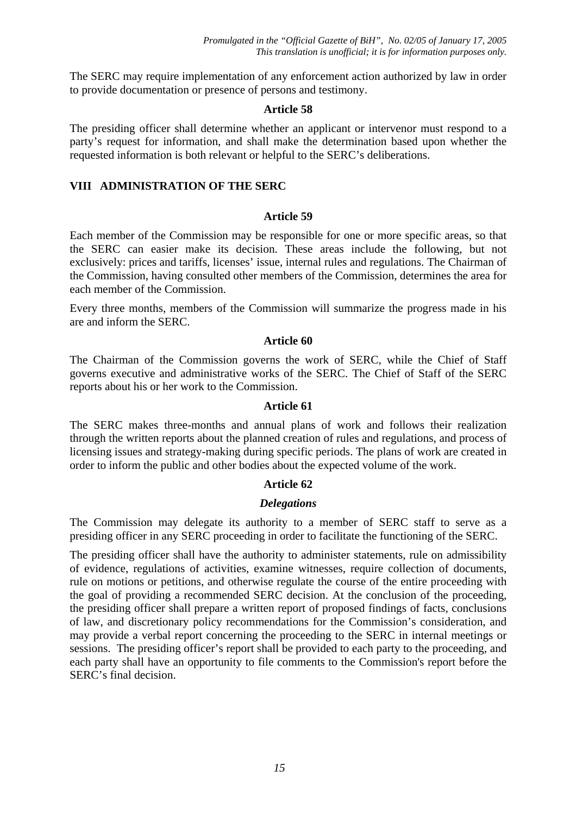The SERC may require implementation of any enforcement action authorized by law in order to provide documentation or presence of persons and testimony.

### **Article 58**

The presiding officer shall determine whether an applicant or intervenor must respond to a party's request for information, and shall make the determination based upon whether the requested information is both relevant or helpful to the SERC's deliberations.

### **VIII ADMINISTRATION OF THE SERC**

#### **Article 59**

Each member of the Commission may be responsible for one or more specific areas, so that the SERC can easier make its decision. These areas include the following, but not exclusively: prices and tariffs, licenses' issue, internal rules and regulations. The Chairman of the Commission, having consulted other members of the Commission, determines the area for each member of the Commission.

Every three months, members of the Commission will summarize the progress made in his are and inform the SERC.

#### **Article 60**

The Chairman of the Commission governs the work of SERC, while the Chief of Staff governs executive and administrative works of the SERC. The Chief of Staff of the SERC reports about his or her work to the Commission.

#### **Article 61**

The SERC makes three-months and annual plans of work and follows their realization through the written reports about the planned creation of rules and regulations, and process of licensing issues and strategy-making during specific periods. The plans of work are created in order to inform the public and other bodies about the expected volume of the work.

### **Article 62**

### *Delegations*

The Commission may delegate its authority to a member of SERC staff to serve as a presiding officer in any SERC proceeding in order to facilitate the functioning of the SERC.

The presiding officer shall have the authority to administer statements, rule on admissibility of evidence, regulations of activities, examine witnesses, require collection of documents, rule on motions or petitions, and otherwise regulate the course of the entire proceeding with the goal of providing a recommended SERC decision. At the conclusion of the proceeding, the presiding officer shall prepare a written report of proposed findings of facts, conclusions of law, and discretionary policy recommendations for the Commission's consideration, and may provide a verbal report concerning the proceeding to the SERC in internal meetings or sessions. The presiding officer's report shall be provided to each party to the proceeding, and each party shall have an opportunity to file comments to the Commission's report before the SERC's final decision.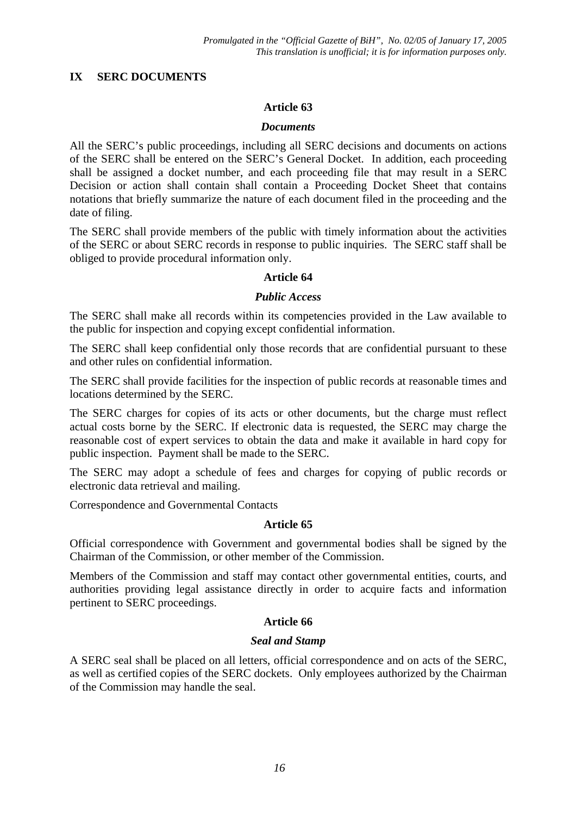## **IX SERC DOCUMENTS**

## **Article 63**

### *Documents*

All the SERC's public proceedings, including all SERC decisions and documents on actions of the SERC shall be entered on the SERC's General Docket. In addition, each proceeding shall be assigned a docket number, and each proceeding file that may result in a SERC Decision or action shall contain shall contain a Proceeding Docket Sheet that contains notations that briefly summarize the nature of each document filed in the proceeding and the date of filing.

The SERC shall provide members of the public with timely information about the activities of the SERC or about SERC records in response to public inquiries. The SERC staff shall be obliged to provide procedural information only.

### **Article 64**

### *Public Access*

The SERC shall make all records within its competencies provided in the Law available to the public for inspection and copying except confidential information.

The SERC shall keep confidential only those records that are confidential pursuant to these and other rules on confidential information.

The SERC shall provide facilities for the inspection of public records at reasonable times and locations determined by the SERC.

The SERC charges for copies of its acts or other documents, but the charge must reflect actual costs borne by the SERC. If electronic data is requested, the SERC may charge the reasonable cost of expert services to obtain the data and make it available in hard copy for public inspection. Payment shall be made to the SERC.

The SERC may adopt a schedule of fees and charges for copying of public records or electronic data retrieval and mailing.

Correspondence and Governmental Contacts

## **Article 65**

Official correspondence with Government and governmental bodies shall be signed by the Chairman of the Commission, or other member of the Commission.

Members of the Commission and staff may contact other governmental entities, courts, and authorities providing legal assistance directly in order to acquire facts and information pertinent to SERC proceedings.

## **Article 66**

## *Seal and Stamp*

A SERC seal shall be placed on all letters, official correspondence and on acts of the SERC, as well as certified copies of the SERC dockets. Only employees authorized by the Chairman of the Commission may handle the seal.